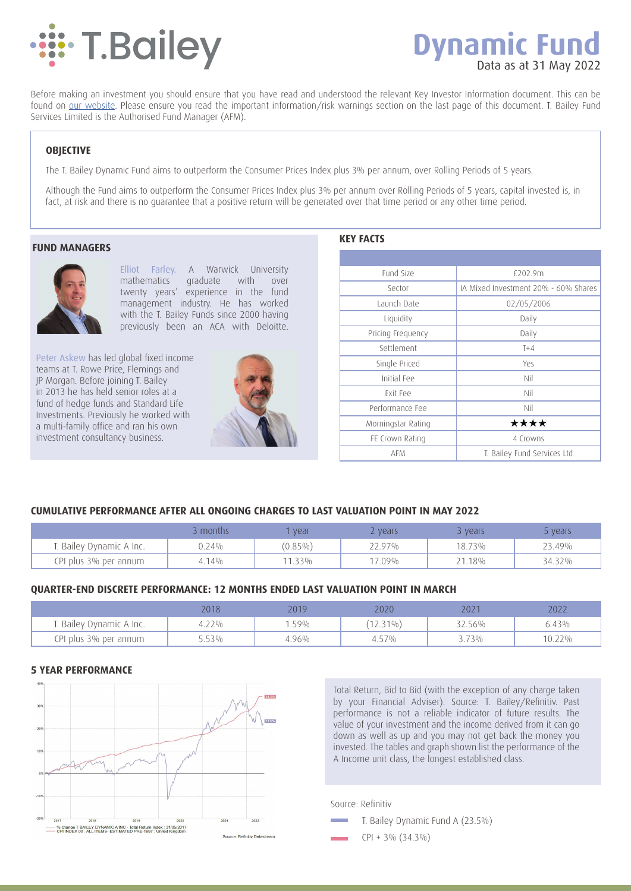

# **Dynamic Fund** Data as at 31 May 2022

Before making an investment you should ensure that you have read and understood the relevant Key Investor Information document. This can be found on our website. Please ensure you read the important information/risk warnings section on the last page of this document. T. Bailey Fund Services Limited is the Authorised Fund Manager (AFM).

# **OBJECTIVE**

The T. Bailey Dynamic Fund aims to outperform the Consumer Prices Index plus 3% per annum, over Rolling Periods of 5 years.

Although the Fund aims to outperform the Consumer Prices Index plus 3% per annum over Rolling Periods of 5 years, capital invested is, in fact, at risk and there is no guarantee that a positive return will be generated over that time period or any other time period.

#### **FUND MANAGERS**



Elliot Farley. A Warwick University mathematics graduate with over twenty years' experience in the fund management industry. He has worked with the T. Bailey Funds since 2000 having previously been an ACA with Deloitte.

Peter Askew has led global fixed income teams at T. Rowe Price, Flemings and JP Morgan. Before joining T. Bailey in 2013 he has held senior roles at a fund of hedge funds and Standard Life Investments. Previously he worked with a multi-family office and ran his own investment consultancy business.



**KEY FACTS**

| Fund Size          | £202.9m                              |
|--------------------|--------------------------------------|
| Sector             | IA Mixed Investment 20% - 60% Shares |
| Launch Date        | 02/05/2006                           |
| Liquidity          | Daily                                |
| Pricing Frequency  | Daily                                |
| Settlement         | $T+4$                                |
| Single Priced      | Yes                                  |
| Initial Fee        | Nil                                  |
| <b>Fxit Fee</b>    | Nil                                  |
| Performance Fee    | Nil                                  |
| Morningstar Rating | ****                                 |
| FE Crown Rating    | 4 Crowns                             |
| <b>AFM</b>         | T. Bailey Fund Services Ltd          |

# **CUMULATIVE PERFORMANCE AFTER ALL ONGOING CHARGES TO LAST VALUATION POINT IN MAY 2022**

|                          | 3 months | vear       | <b>Z</b> vears | vears  | vears  |
|--------------------------|----------|------------|----------------|--------|--------|
| T. Bailey Dynamic A Inc. | 0.24%    | $(0.85\%)$ | 22.97%         | 18.73% | 23.49% |
| CPI plus 3% per annum    | 14%      | 11.33%     | 17.09%         | 21.18% | 34.32% |

# **QUARTER-END DISCRETE PERFORMANCE: 12 MONTHS ENDED LAST VALUATION POINT IN MARCH**

|                          | 2018  | 2019 | 2020        | 202 <sup>-</sup> | 202 <sub>4</sub> |
|--------------------------|-------|------|-------------|------------------|------------------|
| T. Bailey Dynamic A Inc. | 4.22% | .59% | $(12.31\%)$ | 32.56%           | 6.43%            |
| CPI plus 3% per annum    | 3.53% | 86%  | 4.57%       | 73%              | 10.22%           |

#### **5 YEAR PERFORMANCE**



Total Return, Bid to Bid (with the exception of any charge taken by your Financial Adviser). Source: T. Bailey/Refinitiv. Past performance is not a reliable indicator of future results. The value of your investment and the income derived from it can go down as well as up and you may not get back the money you invested. The tables and graph shown list the performance of the A Income unit class, the longest established class.

Source: Refinitiv

- T. Bailey Dynamic Fund A (23.5%)
	- CPI + 3% (34.3%)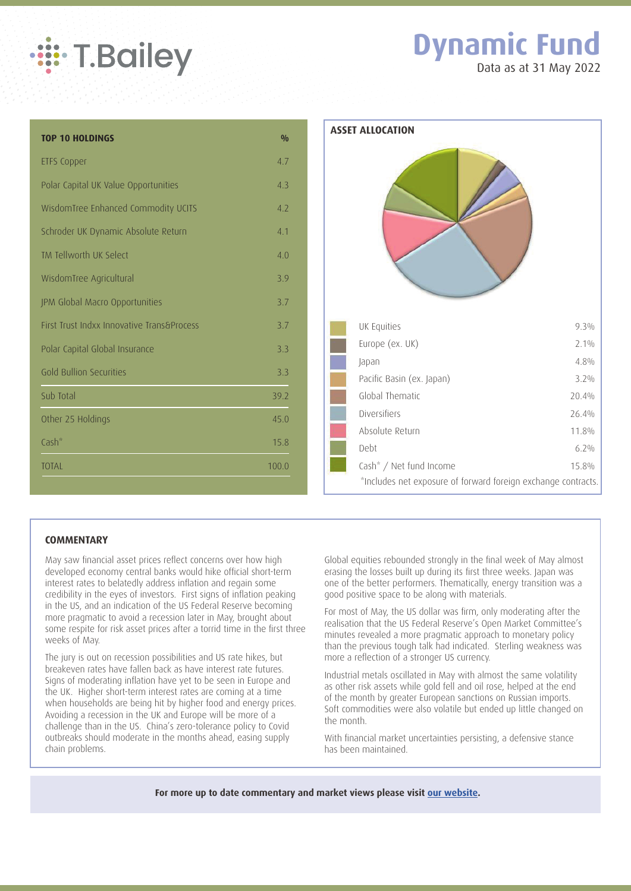

# **Dynamic Fund**

Data as at 31 May 2022

| <b>TOP 10 HOLDINGS</b>                     | 0/0   | Α |
|--------------------------------------------|-------|---|
| <b>ETFS Copper</b>                         | 4.7   |   |
| Polar Capital UK Value Opportunities       | 4.3   |   |
| WisdomTree Enhanced Commodity UCITS        | 4.2   |   |
| Schroder UK Dynamic Absolute Return        | 4.1   |   |
| TM Tellworth UK Select                     | 4.0   |   |
| WisdomTree Agricultural                    | 3.9   |   |
| JPM Global Macro Opportunities             | 3.7   |   |
| First Trust Indxx Innovative Trans&Process | 3.7   |   |
| Polar Capital Global Insurance             | 3.3   |   |
| <b>Gold Bullion Securities</b>             | 3.3   |   |
| Sub Total                                  | 39.2  |   |
| Other 25 Holdings                          | 45.0  |   |
| Cash <sup>*</sup>                          | 15.8  |   |
| <b>TOTAL</b>                               | 100.0 |   |
|                                            |       |   |



# **COMMENTARY**

May saw financial asset prices reflect concerns over how high developed economy central banks would hike official short-term interest rates to belatedly address inflation and regain some credibility in the eyes of investors. First signs of inflation peaking in the US, and an indication of the US Federal Reserve becoming more pragmatic to avoid a recession later in May, brought about some respite for risk asset prices after a torrid time in the first three weeks of May.

The jury is out on recession possibilities and US rate hikes, but breakeven rates have fallen back as have interest rate futures. Signs of moderating inflation have yet to be seen in Europe and the UK. Higher short-term interest rates are coming at a time when households are being hit by higher food and energy prices. Avoiding a recession in the UK and Europe will be more of a challenge than in the US. China's zero-tolerance policy to Covid outbreaks should moderate in the months ahead, easing supply chain problems.

Global equities rebounded strongly in the final week of May almost erasing the losses built up during its first three weeks. Japan was one of the better performers. Thematically, energy transition was a good positive space to be along with materials.

For most of May, the US dollar was firm, only moderating after the realisation that the US Federal Reserve's Open Market Committee's minutes revealed a more pragmatic approach to monetary policy than the previous tough talk had indicated. Sterling weakness was more a reflection of a stronger US currency.

Industrial metals oscillated in May with almost the same volatility as other risk assets while gold fell and oil rose, helped at the end of the month by greater European sanctions on Russian imports. Soft commodities were also volatile but ended up little changed on the month.

With financial market uncertainties persisting, a defensive stance has been maintained.

**For more up to date commentary and market views please visit our website.**